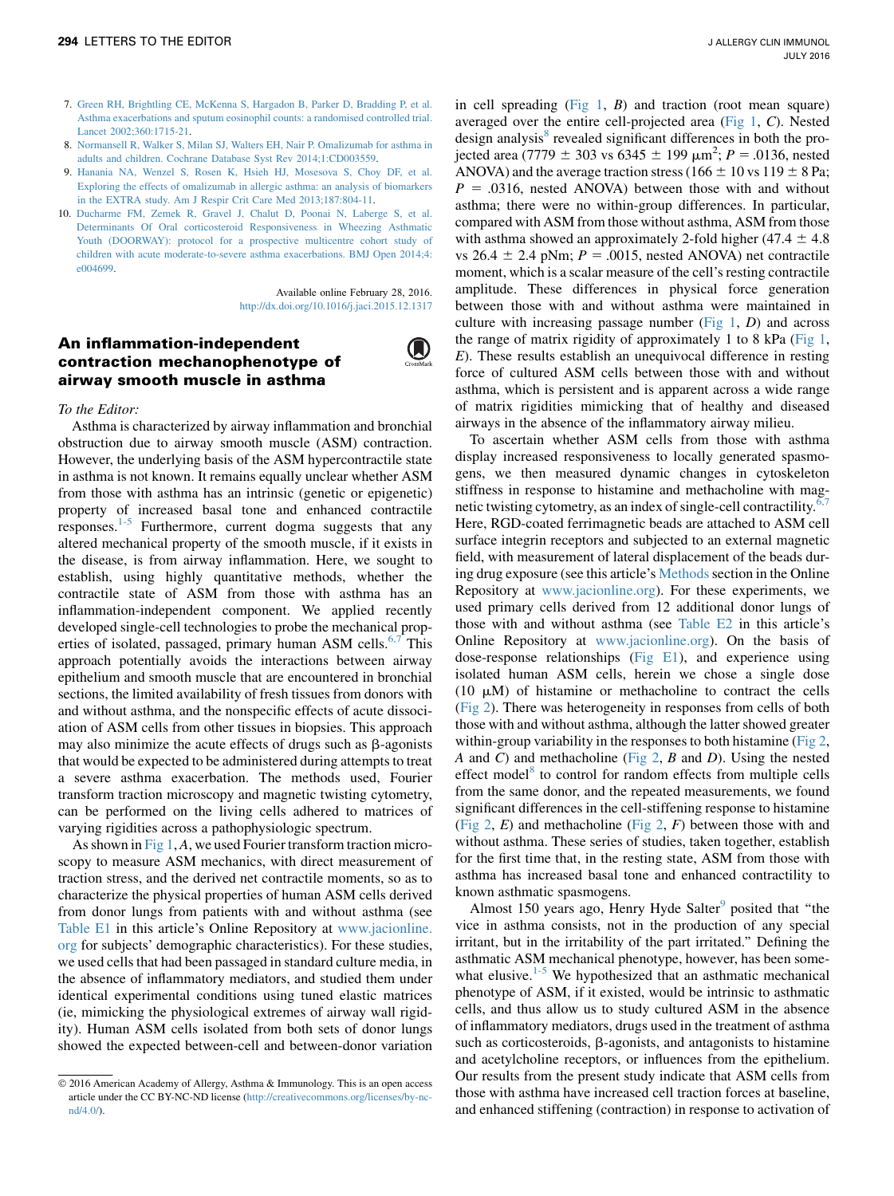- 7. [Green RH, Brightling CE, McKenna S, Hargadon B, Parker D, Bradding P, et al.](http://refhub.elsevier.com/S0091-6749(16)00116-0/sref7) [Asthma exacerbations and sputum eosinophil counts: a randomised controlled trial.](http://refhub.elsevier.com/S0091-6749(16)00116-0/sref7) [Lancet 2002;360:1715-21.](http://refhub.elsevier.com/S0091-6749(16)00116-0/sref7)
- 8. [Normansell R, Walker S, Milan SJ, Walters EH, Nair P. Omalizumab for asthma in](http://refhub.elsevier.com/S0091-6749(16)00116-0/sref8) [adults and children. Cochrane Database Syst Rev 2014;1:CD003559](http://refhub.elsevier.com/S0091-6749(16)00116-0/sref8).
- 9. [Hanania NA, Wenzel S, Rosen K, Hsieh HJ, Mosesova S, Choy DF, et al.](http://refhub.elsevier.com/S0091-6749(16)00116-0/sref9) [Exploring the effects of omalizumab in allergic asthma: an analysis of biomarkers](http://refhub.elsevier.com/S0091-6749(16)00116-0/sref9) [in the EXTRA study. Am J Respir Crit Care Med 2013;187:804-11](http://refhub.elsevier.com/S0091-6749(16)00116-0/sref9).
- 10. [Ducharme FM, Zemek R, Gravel J, Chalut D, Poonai N, Laberge S, et al.](http://refhub.elsevier.com/S0091-6749(16)00116-0/sref10) [Determinants Of Oral corticosteroid Responsiveness in Wheezing Asthmatic](http://refhub.elsevier.com/S0091-6749(16)00116-0/sref10) [Youth \(DOORWAY\): protocol for a prospective multicentre cohort study of](http://refhub.elsevier.com/S0091-6749(16)00116-0/sref10) [children with acute moderate-to-severe asthma exacerbations. BMJ Open 2014;4:](http://refhub.elsevier.com/S0091-6749(16)00116-0/sref10) [e004699](http://refhub.elsevier.com/S0091-6749(16)00116-0/sref10).

Available online February 28, 2016. <http://dx.doi.org/10.1016/j.jaci.2015.12.1317>

## An inflammation-independent contraction mechanophenotype of airway smooth muscle in asthma



#### To the Editor:

Asthma is characterized by airway inflammation and bronchial obstruction due to airway smooth muscle (ASM) contraction. However, the underlying basis of the ASM hypercontractile state in asthma is not known. It remains equally unclear whether ASM from those with asthma has an intrinsic (genetic or epigenetic) property of increased basal tone and enhanced contractile responses.[1-5](#page-2-0) Furthermore, current dogma suggests that any altered mechanical property of the smooth muscle, if it exists in the disease, is from airway inflammation. Here, we sought to establish, using highly quantitative methods, whether the contractile state of ASM from those with asthma has an inflammation-independent component. We applied recently developed single-cell technologies to probe the mechanical properties of isolated, passaged, primary human ASM cells.<sup>6,7</sup> This approach potentially avoids the interactions between airway epithelium and smooth muscle that are encountered in bronchial sections, the limited availability of fresh tissues from donors with and without asthma, and the nonspecific effects of acute dissociation of ASM cells from other tissues in biopsies. This approach may also minimize the acute effects of drugs such as  $\beta$ -agonists that would be expected to be administered during attempts to treat a severe asthma exacerbation. The methods used, Fourier transform traction microscopy and magnetic twisting cytometry, can be performed on the living cells adhered to matrices of varying rigidities across a pathophysiologic spectrum.

As shown in [Fig 1,](#page-1-0) A, we used Fourier transform traction microscopy to measure ASM mechanics, with direct measurement of traction stress, and the derived net contractile moments, so as to characterize the physical properties of human ASM cells derived from donor lungs from patients with and without asthma (see [Table E1](#page-6-0) in this article's Online Repository at [www.jacionline.](http://www.jacionline.org) [org](http://www.jacionline.org) for subjects' demographic characteristics). For these studies, we used cells that had been passaged in standard culture media, in the absence of inflammatory mediators, and studied them under identical experimental conditions using tuned elastic matrices (ie, mimicking the physiological extremes of airway wall rigidity). Human ASM cells isolated from both sets of donor lungs showed the expected between-cell and between-donor variation

in cell spreading  $(Fig 1, B)$  $(Fig 1, B)$  $(Fig 1, B)$  and traction (root mean square) averaged over the entire cell-projected area ( $Fig\ 1, C$ ). Nested design analysis<sup>[8](#page-3-0)</sup> revealed significant differences in both the projected area (7779  $\pm$  303 vs 6345  $\pm$  199  $\mu$ m<sup>2</sup>;  $P = .0136$ , nested ANOVA) and the average traction stress (166  $\pm$  10 ys 119  $\pm$  8 Pa ANOVA) and the average traction stress (166  $\pm$  10 vs 119  $\pm$  8 Pa;  $P = .0316$ , nested ANOVA) between those with and without asthma; there were no within-group differences. In particular, compared with ASM from those without asthma, ASM from those with asthma showed an approximately 2-fold higher  $(47.4 \pm 4.8)$ vs 26.4  $\pm$  2.4 pNm; P = .0015, nested ANOVA) net contractile moment, which is a scalar measure of the cell's resting contractile amplitude. These differences in physical force generation between those with and without asthma were maintained in culture with increasing passage number (Fig  $1, D$ ) and across the range of matrix rigidity of approximately 1 to 8 kPa [\(Fig 1,](#page-1-0) E). These results establish an unequivocal difference in resting force of cultured ASM cells between those with and without asthma, which is persistent and is apparent across a wide range of matrix rigidities mimicking that of healthy and diseased airways in the absence of the inflammatory airway milieu.

To ascertain whether ASM cells from those with asthma display increased responsiveness to locally generated spasmogens, we then measured dynamic changes in cytoskeleton stiffness in response to histamine and methacholine with magnetic twisting cytometry, as an index of single-cell contractility.<sup>6</sup> Here, RGD-coated ferrimagnetic beads are attached to ASM cell surface integrin receptors and subjected to an external magnetic field, with measurement of lateral displacement of the beads during drug exposure (see this article's Methods section in the Online Repository at [www.jacionline.org](http://www.jacionline.org)). For these experiments, we used primary cells derived from 12 additional donor lungs of those with and without asthma (see [Table E2](#page-7-0) in this article's Online Repository at [www.jacionline.org](http://www.jacionline.org)). On the basis of dose-response relationships  $(Fig E1)$  $(Fig E1)$ , and experience using isolated human ASM cells, herein we chose a single dose (10  $\mu$ M) of histamine or methacholine to contract the cells [\(Fig 2](#page-2-0)). There was heterogeneity in responses from cells of both those with and without asthma, although the latter showed greater within-group variability in the responses to both histamine (Fig  $2$ , A and C) and methacholine (Fig  $2$ ,  $B$  and  $D$ ). Using the nested effect model $8$  to control for random effects from multiple cells from the same donor, and the repeated measurements, we found significant differences in the cell-stiffening response to histamine [\(Fig 2,](#page-2-0) E) and methacholine ([Fig 2](#page-2-0), F) between those with and without asthma. These series of studies, taken together, establish for the first time that, in the resting state, ASM from those with asthma has increased basal tone and enhanced contractility to known asthmatic spasmogens.

Almost 150 years ago, Henry Hyde Salter $<sup>9</sup>$  $<sup>9</sup>$  $<sup>9</sup>$  posited that "the</sup> vice in asthma consists, not in the production of any special irritant, but in the irritability of the part irritated.'' Defining the asthmatic ASM mechanical phenotype, however, has been somewhat elusive. $1-5$  We hypothesized that an asthmatic mechanical phenotype of ASM, if it existed, would be intrinsic to asthmatic cells, and thus allow us to study cultured ASM in the absence of inflammatory mediators, drugs used in the treatment of asthma such as corticosteroids,  $\beta$ -agonists, and antagonists to histamine and acetylcholine receptors, or influences from the epithelium. Our results from the present study indicate that ASM cells from those with asthma have increased cell traction forces at baseline, and enhanced stiffening (contraction) in response to activation of

2016 American Academy of Allergy, Asthma & Immunology. This is an open access article under the CC BY-NC-ND license [\(http://creativecommons.org/licenses/by-nc](http://creativecommons.org/licenses/by-nc-nd/4.0/)[nd/4.0/\)](http://creativecommons.org/licenses/by-nc-nd/4.0/).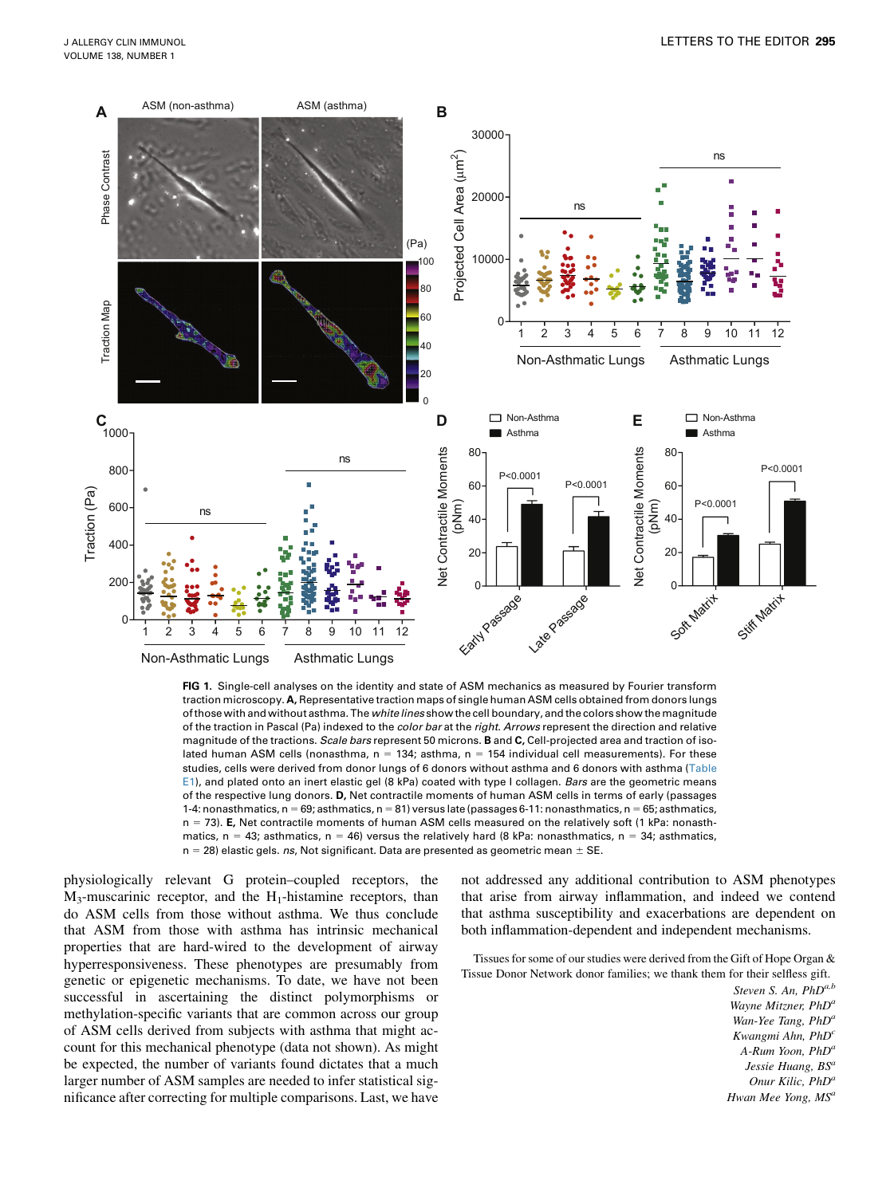<span id="page-1-0"></span>

FIG 1. Single-cell analyses on the identity and state of ASM mechanics as measured by Fourier transform traction microscopy. A, Representative traction maps of single human ASM cells obtained from donors lungs of those with and without asthma. The white lines show the cell boundary, and the colors show the magnitude of the traction in Pascal (Pa) indexed to the color bar at the right. Arrows represent the direction and relative magnitude of the tractions. Scale bars represent 50 microns. <sup>B</sup> and C, Cell-projected area and traction of isolated human ASM cells (nonasthma,  $n = 134$ ; asthma,  $n = 154$  individual cell measurements). For these studies, cells were derived from donor lungs of 6 donors without asthma and 6 donors with asthma ([Table](#page-6-0)  $E(1)$ , and plated onto an inert elastic gel (8 kPa) coated with type I collagen. Bars are the geometric means of the respective lung donors. D, Net contractile moments of human ASM cells in terms of early (passages 1-4: nonasthmatics, n = 69; asthmatics, n = 81) versus late (passages 6-11: nonasthmatics, n = 65; asthmatics,  $n = 73$ ). E, Net contractile moments of human ASM cells measured on the relatively soft (1 kPa: nonasthmatics, n = 43; asthmatics, n = 46) versus the relatively hard (8 kPa: nonasthmatics, n = 34; asthmatics,  $n = 28$ ) elastic gels. ns, Not significant. Data are presented as geometric mean  $\pm$  SE.

physiologically relevant G protein–coupled receptors, the  $M_3$ -muscarinic receptor, and the  $H_1$ -histamine receptors, than do ASM cells from those without asthma. We thus conclude that ASM from those with asthma has intrinsic mechanical properties that are hard-wired to the development of airway hyperresponsiveness. These phenotypes are presumably from genetic or epigenetic mechanisms. To date, we have not been successful in ascertaining the distinct polymorphisms or methylation-specific variants that are common across our group of ASM cells derived from subjects with asthma that might account for this mechanical phenotype (data not shown). As might be expected, the number of variants found dictates that a much larger number of ASM samples are needed to infer statistical significance after correcting for multiple comparisons. Last, we have

not addressed any additional contribution to ASM phenotypes that arise from airway inflammation, and indeed we contend that asthma susceptibility and exacerbations are dependent on both inflammation-dependent and independent mechanisms.

Tissues for some of our studies were derived from the Gift of Hope Organ & Tissue Donor Network donor families; we thank them for their selfless gift.

Steven S. An,  $PhD^{a,b}$ Wayne Mitzner, PhD<sup>a</sup> Wan-Yee Tang, PhD<sup>a</sup> Kwangmi Ahn, PhD<sup>c</sup> A-Rum Yoon, PhD<sup>a</sup> Jessie Huang, BS<sup>a</sup> Onur Kilic,  $PhD^a$ Hwan Mee Yong, MS<sup>a</sup>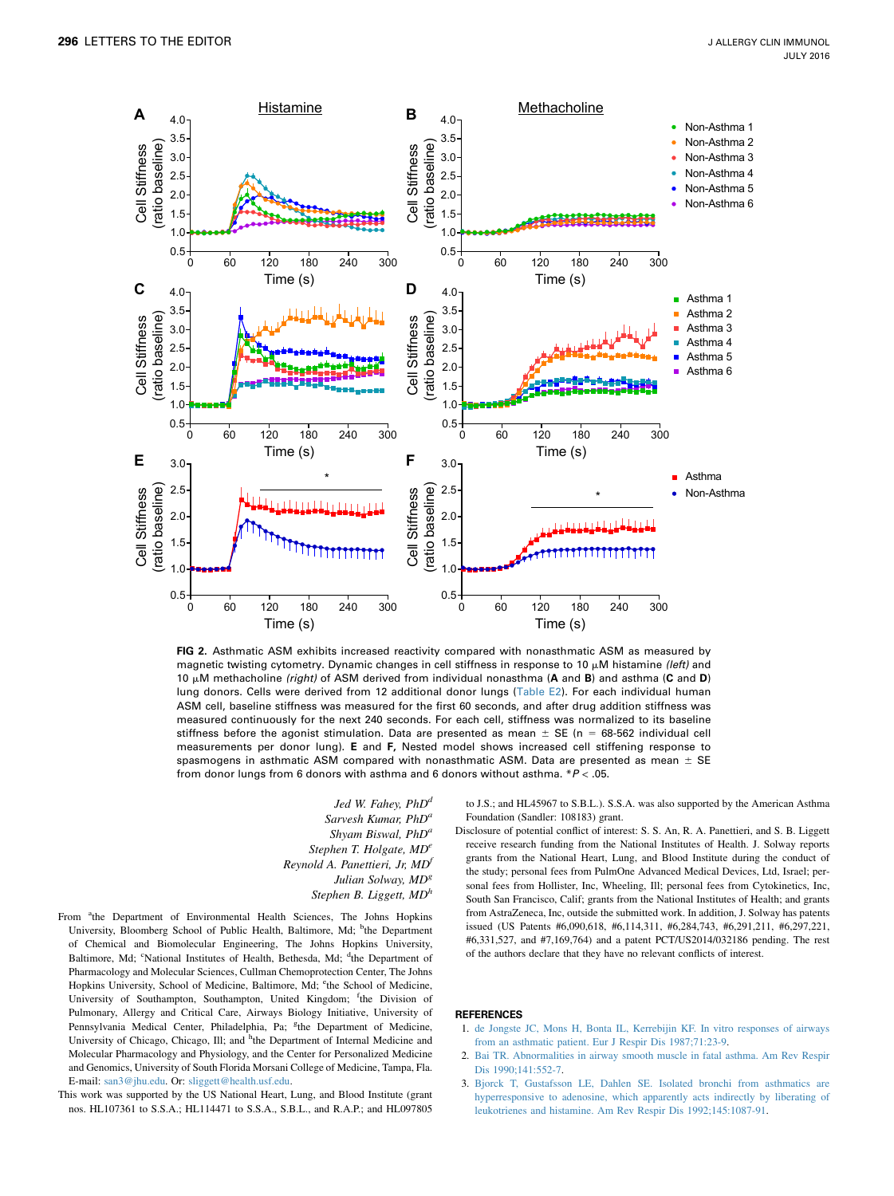<span id="page-2-0"></span>

FIG 2. Asthmatic ASM exhibits increased reactivity compared with nonasthmatic ASM as measured by magnetic twisting cytometry. Dynamic changes in cell stiffness in response to 10  $\mu$ M histamine (left) and 10  $\mu$ M methacholine (right) of ASM derived from individual nonasthma (A and B) and asthma (C and D) lung donors. Cells were derived from 12 additional donor lungs [\(Table E2](#page-7-0)). For each individual human ASM cell, baseline stiffness was measured for the first 60 seconds, and after drug addition stiffness was measured continuously for the next 240 seconds. For each cell, stiffness was normalized to its baseline stiffness before the agonist stimulation. Data are presented as mean  $\pm$  SE (n = 68-562 individual cell measurements per donor lung). E and F, Nested model shows increased cell stiffening response to spasmogens in asthmatic ASM compared with nonasthmatic ASM. Data are presented as mean  $\pm$  SE from donor lungs from 6 donors with asthma and 6 donors without asthma.  $*P < .05$ .

Jed W. Fahey, PhD<sup>d</sup> Sarvesh Kumar, PhD<sup>o</sup> Shyam Biswal, PhD<sup>a</sup> Stephen T. Holgate, MDe Reynold A. Panettieri, Jr, MD<sup>f</sup> Julian Solway, MD<sup>8</sup> Stephen B. Liggett,  $MD<sup>h</sup>$ 

- From <sup>a</sup>the Department of Environmental Health Sciences, The Johns Hopkins University, Bloomberg School of Public Health, Baltimore, Md; <sup>b</sup>the Department of Chemical and Biomolecular Engineering, The Johns Hopkins University, Baltimore, Md; <sup>c</sup>National Institutes of Health, Bethesda, Md; <sup>d</sup>the Department of Pharmacology and Molecular Sciences, Cullman Chemoprotection Center, The Johns Hopkins University, School of Medicine, Baltimore, Md; <sup>e</sup>the School of Medicine, University of Southampton, Southampton, United Kingdom; <sup>f</sup>the Division of Pulmonary, Allergy and Critical Care, Airways Biology Initiative, University of Pennsylvania Medical Center, Philadelphia, Pa; <sup>g</sup>the Department of Medicine, University of Chicago, Chicago, Ill; and <sup>h</sup>the Department of Internal Medicine and Molecular Pharmacology and Physiology, and the Center for Personalized Medicine and Genomics, University of South Florida Morsani College of Medicine, Tampa, Fla. E-mail: [san3@jhu.edu](mailto:san3@jhu.edu&/elink;. Or: &elink;sliggett@health.usf.edu). Or: [sliggett@health.usf.edu.](mailto:sliggett@health.usf.edu)
- This work was supported by the US National Heart, Lung, and Blood Institute (grant nos. HL107361 to S.S.A.; HL114471 to S.S.A., S.B.L., and R.A.P.; and HL097805

to J.S.; and HL45967 to S.B.L.). S.S.A. was also supported by the American Asthma Foundation (Sandler: 108183) grant.

Disclosure of potential conflict of interest: S. S. An, R. A. Panettieri, and S. B. Liggett receive research funding from the National Institutes of Health. J. Solway reports grants from the National Heart, Lung, and Blood Institute during the conduct of the study; personal fees from PulmOne Advanced Medical Devices, Ltd, Israel; personal fees from Hollister, Inc, Wheeling, Ill; personal fees from Cytokinetics, Inc, South San Francisco, Calif; grants from the National Institutes of Health; and grants from AstraZeneca, Inc, outside the submitted work. In addition, J. Solway has patents issued (US Patents #6,090,618, #6,114,311, #6,284,743, #6,291,211, #6,297,221, #6,331,527, and #7,169,764) and a patent PCT/US2014/032186 pending. The rest of the authors declare that they have no relevant conflicts of interest.

#### REFERENCES

- 1. [de Jongste JC, Mons H, Bonta IL, Kerrebijin KF. In vitro responses of airways](http://refhub.elsevier.com/S0091-6749(16)00119-6/sref1) [from an asthmatic patient. Eur J Respir Dis 1987;71:23-9.](http://refhub.elsevier.com/S0091-6749(16)00119-6/sref1)
- 2. [Bai TR. Abnormalities in airway smooth muscle in fatal asthma. Am Rev Respir](http://refhub.elsevier.com/S0091-6749(16)00119-6/sref2) [Dis 1990;141:552-7](http://refhub.elsevier.com/S0091-6749(16)00119-6/sref2).
- 3. [Bjorck T, Gustafsson LE, Dahlen SE. Isolated bronchi from asthmatics are](http://refhub.elsevier.com/S0091-6749(16)00119-6/sref3) [hyperresponsive to adenosine, which apparently acts indirectly by liberating of](http://refhub.elsevier.com/S0091-6749(16)00119-6/sref3) [leukotrienes and histamine. Am Rev Respir Dis 1992;145:1087-91](http://refhub.elsevier.com/S0091-6749(16)00119-6/sref3).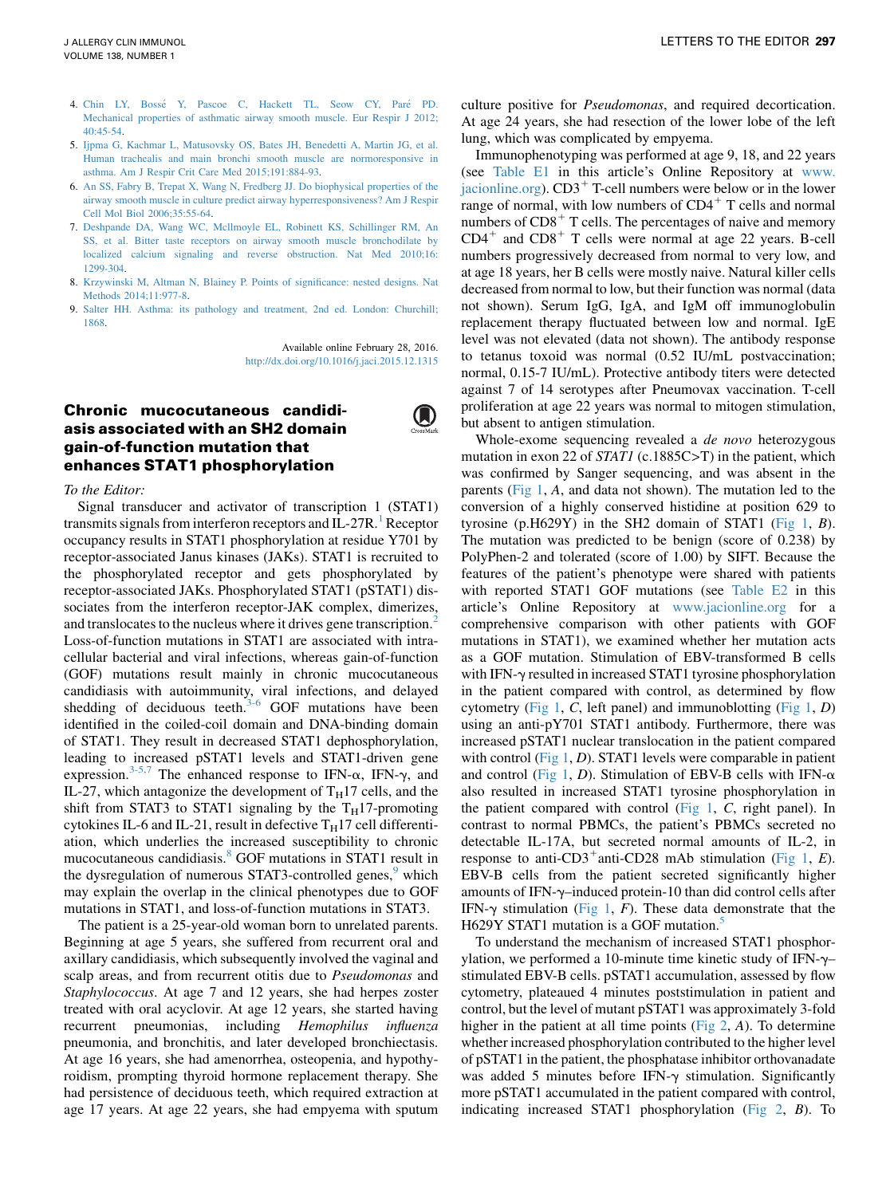- <span id="page-3-0"></span>4. [Chin LY, Boss](http://refhub.elsevier.com/S0091-6749(16)00119-6/sref4)e [Y, Pascoe C, Hackett TL, Seow CY, Par](http://refhub.elsevier.com/S0091-6749(16)00119-6/sref4)e [PD.](http://refhub.elsevier.com/S0091-6749(16)00119-6/sref4) [Mechanical properties of asthmatic airway smooth muscle. Eur Respir J 2012;](http://refhub.elsevier.com/S0091-6749(16)00119-6/sref4) [40:45-54.](http://refhub.elsevier.com/S0091-6749(16)00119-6/sref4)
- 5. [Ijpma G, Kachmar L, Matusovsky OS, Bates JH, Benedetti A, Martin JG, et al.](http://refhub.elsevier.com/S0091-6749(16)00116-0/sref5) [Human trachealis and main bronchi smooth muscle are normoresponsive in](http://refhub.elsevier.com/S0091-6749(16)00116-0/sref5) [asthma. Am J Respir Crit Care Med 2015;191:884-93.](http://refhub.elsevier.com/S0091-6749(16)00116-0/sref5)
- 6. [An SS, Fabry B, Trepat X, Wang N, Fredberg JJ. Do biophysical properties of the](http://refhub.elsevier.com/S0091-6749(16)00116-0/sref6) [airway smooth muscle in culture predict airway hyperresponsiveness? Am J Respir](http://refhub.elsevier.com/S0091-6749(16)00116-0/sref6) [Cell Mol Biol 2006;35:55-64](http://refhub.elsevier.com/S0091-6749(16)00116-0/sref6).
- 7. [Deshpande DA, Wang WC, Mcllmoyle EL, Robinett KS, Schillinger RM, An](http://refhub.elsevier.com/S0091-6749(16)00116-0/sref7) [SS, et al. Bitter taste receptors on airway smooth muscle bronchodilate by](http://refhub.elsevier.com/S0091-6749(16)00116-0/sref7) [localized calcium signaling and reverse obstruction. Nat Med 2010;16:](http://refhub.elsevier.com/S0091-6749(16)00116-0/sref7) [1299-304](http://refhub.elsevier.com/S0091-6749(16)00116-0/sref7).
- 8. [Krzywinski M, Altman N, Blainey P. Points of significance: nested designs. Nat](http://refhub.elsevier.com/S0091-6749(16)00116-0/sref8) [Methods 2014;11:977-8](http://refhub.elsevier.com/S0091-6749(16)00116-0/sref8).
- 9. [Salter HH. Asthma: its pathology and treatment, 2nd ed. London: Churchill;](http://refhub.elsevier.com/S0091-6749(16)00116-0/sref9) [1868](http://refhub.elsevier.com/S0091-6749(16)00116-0/sref9).

Available online February 28, 2016. <http://dx.doi.org/10.1016/j.jaci.2015.12.1315>

(II)

# Chronic mucocutaneous candidiasis associated with an SH2 domain gain-of-function mutation that enhances STAT1 phosphorylation

### To the Editor:

Signal transducer and activator of transcription 1 (STAT1) transmits signals from interferon receptors and  $IL-27R$ .<sup>1</sup> Receptor occupancy results in STAT1 phosphorylation at residue Y701 by receptor-associated Janus kinases (JAKs). STAT1 is recruited to the phosphorylated receptor and gets phosphorylated by receptor-associated JAKs. Phosphorylated STAT1 (pSTAT1) dissociates from the interferon receptor-JAK complex, dimerizes, and translocates to the nucleus where it drives gene transcription.<sup>2</sup> Loss-of-function mutations in STAT1 are associated with intracellular bacterial and viral infections, whereas gain-of-function (GOF) mutations result mainly in chronic mucocutaneous candidiasis with autoimmunity, viral infections, and delayed shedding of deciduous teeth.<sup>3-6</sup> GOF mutations have been identified in the coiled-coil domain and DNA-binding domain of STAT1. They result in decreased STAT1 dephosphorylation, leading to increased pSTAT1 levels and STAT1-driven gene expression.<sup>3-5,7</sup> The enhanced response to IFN- $\alpha$ , IFN- $\gamma$ , and IL-27, which antagonize the development of  $T_H$ 17 cells, and the shift from STAT3 to STAT1 signaling by the  $T_H$ 17-promoting cytokines IL-6 and IL-21, result in defective  $T_H$ 17 cell differentiation, which underlies the increased susceptibility to chronic mucocutaneous candidiasis.8 GOF mutations in STAT1 result in the dysregulation of numerous STAT3-controlled genes,<sup>9</sup> which may explain the overlap in the clinical phenotypes due to GOF mutations in STAT1, and loss-of-function mutations in STAT3.

The patient is a 25-year-old woman born to unrelated parents. Beginning at age 5 years, she suffered from recurrent oral and axillary candidiasis, which subsequently involved the vaginal and scalp areas, and from recurrent otitis due to Pseudomonas and Staphylococcus. At age 7 and 12 years, she had herpes zoster treated with oral acyclovir. At age 12 years, she started having recurrent pneumonias, including Hemophilus influenza pneumonia, and bronchitis, and later developed bronchiectasis. At age 16 years, she had amenorrhea, osteopenia, and hypothyroidism, prompting thyroid hormone replacement therapy. She had persistence of deciduous teeth, which required extraction at age 17 years. At age 22 years, she had empyema with sputum culture positive for Pseudomonas, and required decortication. At age 24 years, she had resection of the lower lobe of the left lung, which was complicated by empyema.

Immunophenotyping was performed at age 9, 18, and 22 years (see Table E1 in this article's Online Repository at [www.](http://www.jacionline.org) [jacionline.org](http://www.jacionline.org)).  $CD3^+$  T-cell numbers were below or in the lower range of normal, with low numbers of  $CD4<sup>+</sup>$  T cells and normal numbers of  $CD8<sup>+</sup>$  T cells. The percentages of naive and memory  $CD4^+$  and  $CD8^+$  T cells were normal at age 22 years. B-cell numbers progressively decreased from normal to very low, and at age 18 years, her B cells were mostly naive. Natural killer cells decreased from normal to low, but their function was normal (data not shown). Serum IgG, IgA, and IgM off immunoglobulin replacement therapy fluctuated between low and normal. IgE level was not elevated (data not shown). The antibody response to tetanus toxoid was normal (0.52 IU/mL postvaccination; normal, 0.15-7 IU/mL). Protective antibody titers were detected against 7 of 14 serotypes after Pneumovax vaccination. T-cell proliferation at age 22 years was normal to mitogen stimulation, but absent to antigen stimulation.

Whole-exome sequencing revealed a *de novo* heterozygous mutation in exon 22 of *STAT1* (c.1885C>T) in the patient, which was confirmed by Sanger sequencing, and was absent in the parents (Fig 1, A, and data not shown). The mutation led to the conversion of a highly conserved histidine at position 629 to tyrosine (p.H629Y) in the SH2 domain of STAT1 (Fig 1, B). The mutation was predicted to be benign (score of 0.238) by PolyPhen-2 and tolerated (score of 1.00) by SIFT. Because the features of the patient's phenotype were shared with patients with reported STAT1 GOF mutations (see Table E2 in this article's Online Repository at [www.jacionline.org](http://www.jacionline.org) for a comprehensive comparison with other patients with GOF mutations in STAT1), we examined whether her mutation acts as a GOF mutation. Stimulation of EBV-transformed B cells with IFN-y resulted in increased STAT1 tyrosine phosphorylation in the patient compared with control, as determined by flow cytometry (Fig 1, C, left panel) and immunoblotting (Fig 1, D) using an anti-pY701 STAT1 antibody. Furthermore, there was increased pSTAT1 nuclear translocation in the patient compared with control (Fig  $1, D$ ). STAT1 levels were comparable in patient and control (Fig 1, D). Stimulation of EBV-B cells with IFN- $\alpha$ also resulted in increased STAT1 tyrosine phosphorylation in the patient compared with control  $(Fig 1, C, right panel)$ . In contrast to normal PBMCs, the patient's PBMCs secreted no detectable IL-17A, but secreted normal amounts of IL-2, in response to anti-CD3<sup>+</sup> anti-CD28 mAb stimulation (Fig 1, E). EBV-B cells from the patient secreted significantly higher amounts of IFN- $\gamma$ -induced protein-10 than did control cells after IFN- $\gamma$  stimulation (Fig 1, F). These data demonstrate that the H629Y STAT1 mutation is a GOF mutation.<sup>5</sup>

To understand the mechanism of increased STAT1 phosphorylation, we performed a 10-minute time kinetic study of IFN- $\gamma$ stimulated EBV-B cells. pSTAT1 accumulation, assessed by flow cytometry, plateaued 4 minutes poststimulation in patient and control, but the level of mutant pSTAT1 was approximately 3-fold higher in the patient at all time points (Fig  $2$ , A). To determine whether increased phosphorylation contributed to the higher level of pSTAT1 in the patient, the phosphatase inhibitor orthovanadate was added 5 minutes before IFN- $\gamma$  stimulation. Significantly more pSTAT1 accumulated in the patient compared with control, indicating increased STAT1 phosphorylation (Fig 2, B). To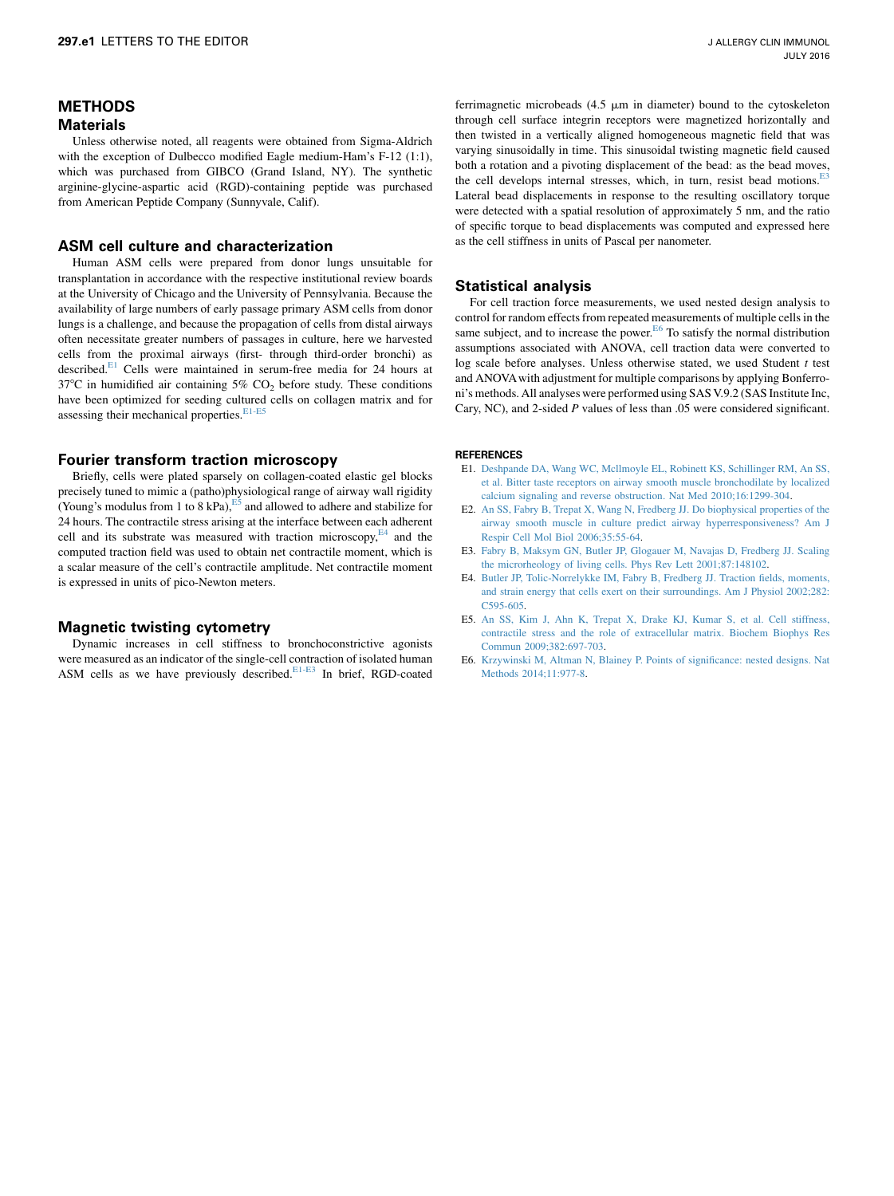# METHODS Materials

Unless otherwise noted, all reagents were obtained from Sigma-Aldrich with the exception of Dulbecco modified Eagle medium-Ham's F-12 (1:1), which was purchased from GIBCO (Grand Island, NY). The synthetic arginine-glycine-aspartic acid (RGD)-containing peptide was purchased from American Peptide Company (Sunnyvale, Calif).

### ASM cell culture and characterization

Human ASM cells were prepared from donor lungs unsuitable for transplantation in accordance with the respective institutional review boards at the University of Chicago and the University of Pennsylvania. Because the availability of large numbers of early passage primary ASM cells from donor lungs is a challenge, and because the propagation of cells from distal airways often necessitate greater numbers of passages in culture, here we harvested cells from the proximal airways (first- through third-order bronchi) as described.E1 Cells were maintained in serum-free media for 24 hours at  $37^{\circ}$ C in humidified air containing 5% CO<sub>2</sub> before study. These conditions have been optimized for seeding cultured cells on collagen matrix and for assessing their mechanical properties.<sup>E1-E</sup>

### Fourier transform traction microscopy

Briefly, cells were plated sparsely on collagen-coated elastic gel blocks precisely tuned to mimic a (patho)physiological range of airway wall rigidity (Young's modulus from 1 to 8 kPa),  $E^5$  and allowed to adhere and stabilize for 24 hours. The contractile stress arising at the interface between each adherent cell and its substrate was measured with traction microscopy, $E^4$  and the computed traction field was used to obtain net contractile moment, which is a scalar measure of the cell's contractile amplitude. Net contractile moment is expressed in units of pico-Newton meters.

#### Magnetic twisting cytometry

Dynamic increases in cell stiffness to bronchoconstrictive agonists were measured as an indicator of the single-cell contraction of isolated human ASM cells as we have previously described.<sup>E1-E3</sup> In brief, RGD-coated

ferrimagnetic microbeads  $(4.5 \mu m)$  in diameter) bound to the cytoskeleton through cell surface integrin receptors were magnetized horizontally and then twisted in a vertically aligned homogeneous magnetic field that was varying sinusoidally in time. This sinusoidal twisting magnetic field caused both a rotation and a pivoting displacement of the bead: as the bead moves, the cell develops internal stresses, which, in turn, resist bead motions.<sup>E3</sup> Lateral bead displacements in response to the resulting oscillatory torque were detected with a spatial resolution of approximately 5 nm, and the ratio of specific torque to bead displacements was computed and expressed here as the cell stiffness in units of Pascal per nanometer.

### Statistical analysis

For cell traction force measurements, we used nested design analysis to control for random effects from repeated measurements of multiple cells in the same subject, and to increase the power.<sup>E6</sup> To satisfy the normal distribution assumptions associated with ANOVA, cell traction data were converted to log scale before analyses. Unless otherwise stated, we used Student  $t$  test and ANOVA with adjustment for multiple comparisons by applying Bonferroni's methods. All analyses were performed using SAS V.9.2 (SAS Institute Inc, Cary, NC), and 2-sided P values of less than .05 were considered significant.

#### **REFERENCES**

- E1. [Deshpande DA, Wang WC, Mcllmoyle EL, Robinett KS, Schillinger RM, An SS,](http://refhub.elsevier.com/S0091-6749(16)00116-0/sref10) [et al. Bitter taste receptors on airway smooth muscle bronchodilate by localized](http://refhub.elsevier.com/S0091-6749(16)00116-0/sref10) [calcium signaling and reverse obstruction. Nat Med 2010;16:1299-304](http://refhub.elsevier.com/S0091-6749(16)00116-0/sref10).
- E2. [An SS, Fabry B, Trepat X, Wang N, Fredberg JJ. Do biophysical properties of the](http://refhub.elsevier.com/S0091-6749(16)00199-8/sref11) [airway smooth muscle in culture predict airway hyperresponsiveness? Am J](http://refhub.elsevier.com/S0091-6749(16)00199-8/sref11) [Respir Cell Mol Biol 2006;35:55-64](http://refhub.elsevier.com/S0091-6749(16)00199-8/sref11).
- E3. [Fabry B, Maksym GN, Butler JP, Glogauer M, Navajas D, Fredberg JJ. Scaling](http://refhub.elsevier.com/S0091-6749(16)00199-8/sref12) [the microrheology of living cells. Phys Rev Lett 2001;87:148102.](http://refhub.elsevier.com/S0091-6749(16)00199-8/sref12)
- E4. [Butler JP, Tolic-Norrelykke IM, Fabry B, Fredberg JJ. Traction fields, moments,](http://refhub.elsevier.com/S0091-6749(16)00199-8/sref13) [and strain energy that cells exert on their surroundings. Am J Physiol 2002;282:](http://refhub.elsevier.com/S0091-6749(16)00199-8/sref13) [C595-605.](http://refhub.elsevier.com/S0091-6749(16)00199-8/sref13)
- E5. [An SS, Kim J, Ahn K, Trepat X, Drake KJ, Kumar S, et al. Cell stiffness,](http://refhub.elsevier.com/S0091-6749(16)00199-8/sref14) [contractile stress and the role of extracellular matrix. Biochem Biophys Res](http://refhub.elsevier.com/S0091-6749(16)00199-8/sref14) [Commun 2009;382:697-703](http://refhub.elsevier.com/S0091-6749(16)00199-8/sref14).
- E6. [Krzywinski M, Altman N, Blainey P. Points of significance: nested designs. Nat](http://refhub.elsevier.com/S0091-6749(16)00199-8/sref15) [Methods 2014;11:977-8.](http://refhub.elsevier.com/S0091-6749(16)00199-8/sref15)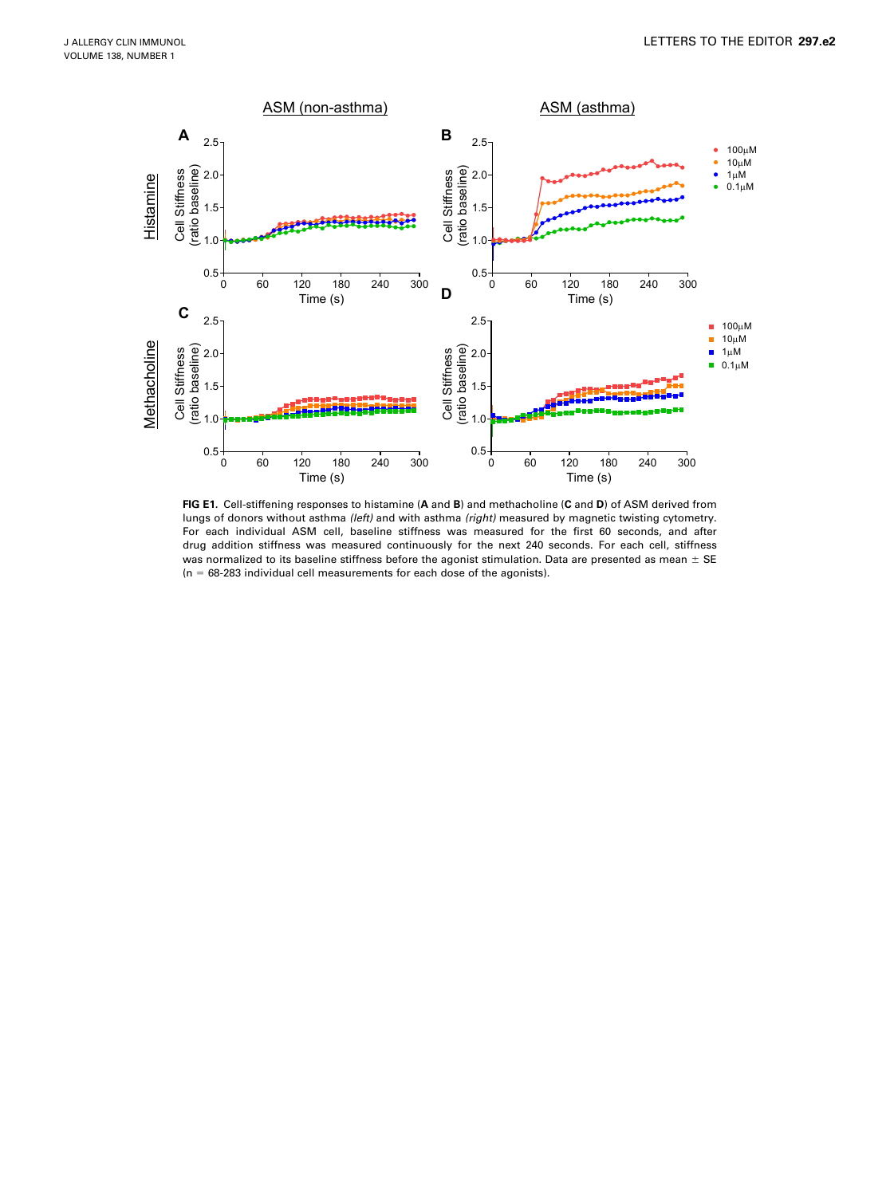<span id="page-5-0"></span>

FIG E1. Cell-stiffening responses to histamine (A and B) and methacholine (C and D) of ASM derived from lungs of donors without asthma (left) and with asthma (right) measured by magnetic twisting cytometry. For each individual ASM cell, baseline stiffness was measured for the first 60 seconds, and after drug addition stiffness was measured continuously for the next 240 seconds. For each cell, stiffness was normalized to its baseline stiffness before the agonist stimulation. Data are presented as mean  $\pm$  SE  $(n = 68-283$  individual cell measurements for each dose of the agonists).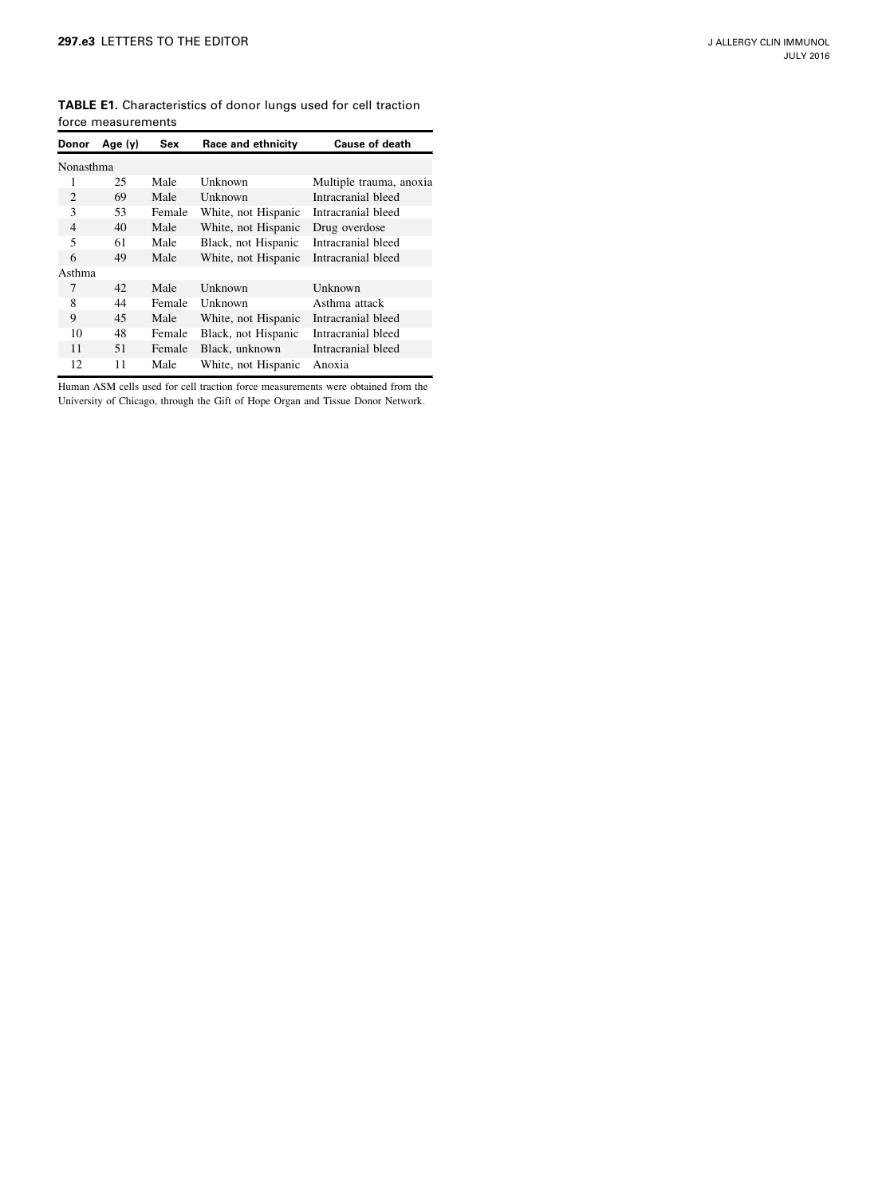<span id="page-6-0"></span>TABLE E1. Characteristics of donor lungs used for cell traction force measurements

| Donor          | Age (y) | Sex    | Race and ethnicity  | <b>Cause of death</b>   |
|----------------|---------|--------|---------------------|-------------------------|
| Nonasthma      |         |        |                     |                         |
| 1              | 25      | Male   | Unknown             | Multiple trauma, anoxia |
| $\overline{2}$ | 69      | Male   | Unknown             | Intracranial bleed      |
| $\mathcal{R}$  | 53      | Female | White, not Hispanic | Intracranial bleed      |
| $\overline{4}$ | 40      | Male   | White, not Hispanic | Drug overdose           |
| 5              | 61      | Male   | Black, not Hispanic | Intracranial bleed      |
| 6              | 49      | Male   | White, not Hispanic | Intracranial bleed      |
| Asthma         |         |        |                     |                         |
| 7              | 42      | Male   | Unknown             | Unknown                 |
| 8              | 44      | Female | Unknown             | Asthma attack           |
| 9              | 45      | Male   | White, not Hispanic | Intracranial bleed      |
| 10             | 48      | Female | Black, not Hispanic | Intracranial bleed      |
| 11             | 51      | Female | Black, unknown      | Intracranial bleed      |
| 12             | 11      | Male   | White, not Hispanic | Anoxia                  |

Human ASM cells used for cell traction force measurements were obtained from the University of Chicago, through the Gift of Hope Organ and Tissue Donor Network.